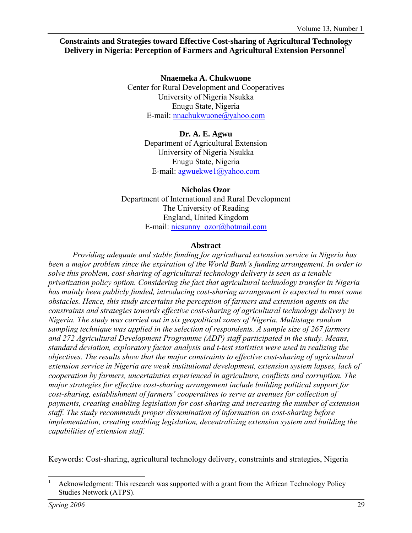#### **Constraints and Strategies toward Effective Cost-sharing of Agricultural Technology Delivery in Nigeria: Perception of Farmers and Agricultural Extension Personnel**<sup>1</sup>

**Nnaemeka A. Chukwuone**  Center for Rural Development and Cooperatives University of Nigeria Nsukka Enugu State, Nigeria E-mail: nnachukwuone@yahoo.com

> **Dr. A. E. Agwu**  Department of Agricultural Extension University of Nigeria Nsukka Enugu State, Nigeria E-mail: agwuekwe1@yahoo.com

**Nicholas Ozor**  Department of International and Rural Development The University of Reading England, United Kingdom E-mail: nicsunny\_ozor@hotmail.com

#### **Abstract**

*Providing adequate and stable funding for agricultural extension service in Nigeria has been a major problem since the expiration of the World Bank's funding arrangement. In order to solve this problem, cost-sharing of agricultural technology delivery is seen as a tenable privatization policy option. Considering the fact that agricultural technology transfer in Nigeria has mainly been publicly funded, introducing cost-sharing arrangement is expected to meet some obstacles. Hence, this study ascertains the perception of farmers and extension agents on the constraints and strategies towards effective cost-sharing of agricultural technology delivery in Nigeria. The study was carried out in six geopolitical zones of Nigeria. Multistage random sampling technique was applied in the selection of respondents. A sample size of 267 farmers and 272 Agricultural Development Programme (ADP) staff participated in the study. Means, standard deviation, exploratory factor analysis and t-test statistics were used in realizing the objectives. The results show that the major constraints to effective cost-sharing of agricultural extension service in Nigeria are weak institutional development, extension system lapses, lack of cooperation by farmers, uncertainties experienced in agriculture, conflicts and corruption. The major strategies for effective cost-sharing arrangement include building political support for cost-sharing, establishment of farmers' cooperatives to serve as avenues for collection of payments, creating enabling legislation for cost-sharing and increasing the number of extension staff. The study recommends proper dissemination of information on cost-sharing before implementation, creating enabling legislation, decentralizing extension system and building the capabilities of extension staff.* 

Keywords: Cost-sharing, agricultural technology delivery, constraints and strategies, Nigeria

l 1 Acknowledgment: This research was supported with a grant from the African Technology Policy Studies Network (ATPS).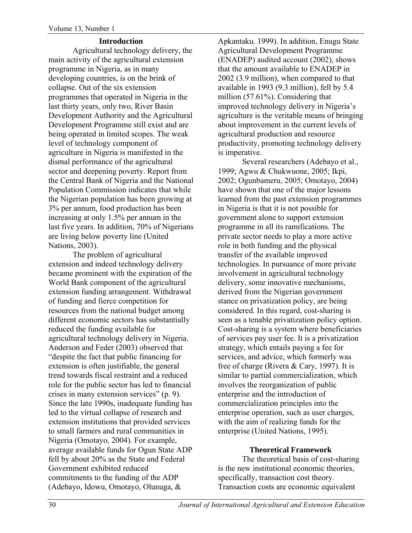#### **Introduction**

Agricultural technology delivery, the main activity of the agricultural extension programme in Nigeria, as in many developing countries, is on the brink of collapse. Out of the six extension programmes that operated in Nigeria in the last thirty years, only two, River Basin Development Authority and the Agricultural Development Programme still exist and are being operated in limited scopes. The weak level of technology component of agriculture in Nigeria is manifested in the dismal performance of the agricultural sector and deepening poverty. Report from the Central Bank of Nigeria and the National Population Commission indicates that while the Nigerian population has been growing at 3% per annum, food production has been increasing at only 1.5% per annum in the last five years. In addition, 70% of Nigerians are living below poverty line (United Nations, 2003).

The problem of agricultural extension and indeed technology delivery became prominent with the expiration of the World Bank component of the agricultural extension funding arrangement. Withdrawal of funding and fierce competition for resources from the national budget among different economic sectors has substantially reduced the funding available for agricultural technology delivery in Nigeria. Anderson and Feder (2003) observed that "despite the fact that public financing for extension is often justifiable, the general trend towards fiscal restraint and a reduced role for the public sector has led to financial crises in many extension services" (p. 9). Since the late 1990s, inadequate funding has led to the virtual collapse of research and extension institutions that provided services to small farmers and rural communities in Nigeria (Omotayo, 2004). For example, average available funds for Ogun State ADP fell by about 20% as the State and Federal Government exhibited reduced commitments to the funding of the ADP (Adebayo, Idowu, Omotayo, Olunuga, &

Apkantaku*,* 1999). In addition, Enugu State Agricultural Development Programme (ENADEP) audited account (2002), shows that the amount available to ENADEP in 2002 (3.9 million), when compared to that available in 1993 (9.3 million), fell by 5.4 million (57.61%). Considering that improved technology delivery in Nigeria's agriculture is the veritable means of bringing about improvement in the current levels of agricultural production and resource productivity, promoting technology delivery is imperative.

Several researchers (Adebayo et al., 1999; Agwu & Chukwuone, 2005; Ikpi, 2002; Ogunbameru, 2005; Omotayo, 2004) have shown that one of the major lessons learned from the past extension programmes in Nigeria is that it is not possible for government alone to support extension programme in all its ramifications. The private sector needs to play a more active role in both funding and the physical transfer of the available improved technologies. In pursuance of more private involvement in agricultural technology delivery, some innovative mechanisms, derived from the Nigerian government stance on privatization policy, are being considered. In this regard, cost-sharing is seen as a tenable privatization policy option. Cost-sharing is a system where beneficiaries of services pay user fee. It is a privatization strategy, which entails paying a fee for services, and advice, which formerly was free of charge (Rivera & Cary, 1997). It is similar to partial commercialization, which involves the reorganization of public enterprise and the introduction of commercialization principles into the enterprise operation, such as user charges, with the aim of realizing funds for the enterprise (United Nations, 1995).

## **Theoretical Framework**

The theoretical basis of cost-sharing is the new institutional economic theories, specifically, transaction cost theory. Transaction costs are economic equivalent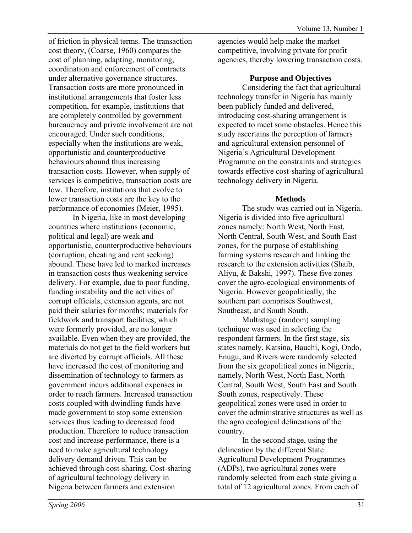of friction in physical terms. The transaction cost theory, (Coarse, 1960) compares the cost of planning, adapting, monitoring, coordination and enforcement of contracts under alternative governance structures. Transaction costs are more pronounced in institutional arrangements that foster less competition, for example, institutions that are completely controlled by government bureaucracy and private involvement are not encouraged. Under such conditions, especially when the institutions are weak, opportunistic and counterproductive behaviours abound thus increasing transaction costs. However, when supply of services is competitive, transaction costs are low. Therefore, institutions that evolve to lower transaction costs are the key to the performance of economies (Meier, 1995).

In Nigeria, like in most developing countries where institutions (economic, political and legal) are weak and opportunistic, counterproductive behaviours (corruption, cheating and rent seeking) abound. These have led to marked increases in transaction costs thus weakening service delivery. For example, due to poor funding, funding instability and the activities of corrupt officials, extension agents, are not paid their salaries for months; materials for fieldwork and transport facilities, which were formerly provided, are no longer available. Even when they are provided, the materials do not get to the field workers but are diverted by corrupt officials. All these have increased the cost of monitoring and dissemination of technology to farmers as government incurs additional expenses in order to reach farmers. Increased transaction costs coupled with dwindling funds have made government to stop some extension services thus leading to decreased food production. Therefore to reduce transaction cost and increase performance, there is a need to make agricultural technology delivery demand driven. This can be achieved through cost-sharing. Cost-sharing of agricultural technology delivery in Nigeria between farmers and extension

agencies would help make the market competitive, involving private for profit agencies, thereby lowering transaction costs.

#### **Purpose and Objectives**

Considering the fact that agricultural technology transfer in Nigeria has mainly been publicly funded and delivered, introducing cost-sharing arrangement is expected to meet some obstacles. Hence this study ascertains the perception of farmers and agricultural extension personnel of Nigeria's Agricultural Development Programme on the constraints and strategies towards effective cost-sharing of agricultural technology delivery in Nigeria.

#### **Methods**

The study was carried out in Nigeria. Nigeria is divided into five agricultural zones namely: North West, North East, North Central, South West, and South East zones, for the purpose of establishing farming systems research and linking the research to the extension activities (Shaib, Aliyu, & Bakshi*,* 1997). These five zones cover the agro-ecological environments of Nigeria. However geopolitically, the southern part comprises Southwest, Southeast, and South South.

Multistage (random) sampling technique was used in selecting the respondent farmers. In the first stage, six states namely, Katsina, Bauchi, Kogi, Ondo, Enugu, and Rivers were randomly selected from the six geopolitical zones in Nigeria; namely, North West, North East, North Central, South West, South East and South South zones, respectively. These geopolitical zones were used in order to cover the administrative structures as well as the agro ecological delineations of the country.

In the second stage, using the delineation by the different State Agricultural Development Programmes (ADPs), two agricultural zones were randomly selected from each state giving a total of 12 agricultural zones. From each of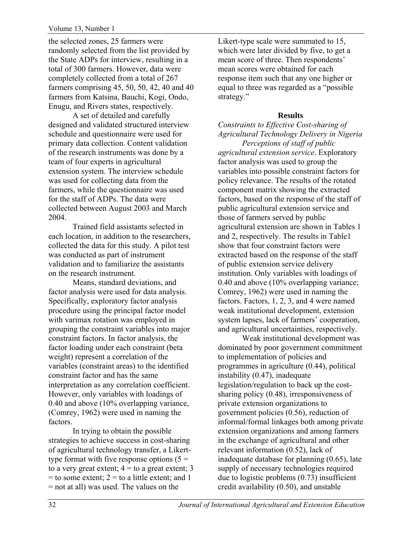the selected zones, 25 farmers were randomly selected from the list provided by the State ADPs for interview, resulting in a total of 300 farmers. However, data were completely collected from a total of 267 farmers comprising 45, 50, 50, 42, 40 and 40 farmers from Katsina, Bauchi, Kogi, Ondo, Enugu, and Rivers states, respectively.

A set of detailed and carefully designed and validated structured interview schedule and questionnaire were used for primary data collection. Content validation of the research instruments was done by a team of four experts in agricultural extension system. The interview schedule was used for collecting data from the farmers, while the questionnaire was used for the staff of ADPs. The data were collected between August 2003 and March 2004.

Trained field assistants selected in each location, in addition to the researchers, collected the data for this study. A pilot test was conducted as part of instrument validation and to familiarize the assistants on the research instrument.

Means, standard deviations, and factor analysis were used for data analysis. Specifically, exploratory factor analysis procedure using the principal factor model with varimax rotation was employed in grouping the constraint variables into major constraint factors. In factor analysis, the factor loading under each constraint (beta weight) represent a correlation of the variables (constraint areas) to the identified constraint factor and has the same interpretation as any correlation coefficient. However, only variables with loadings of 0.40 and above (10% overlapping variance, (Comrey, 1962) were used in naming the factors.

In trying to obtain the possible strategies to achieve success in cost-sharing of agricultural technology transfer, a Likerttype format with five response options  $(5 =$ to a very great extent;  $4 =$  to a great extent; 3  $=$  to some extent;  $2 =$  to a little extent; and 1 = not at all) was used. The values on the

Likert-type scale were summated to 15, which were later divided by five, to get a mean score of three. Then respondents' mean scores were obtained for each response item such that any one higher or equal to three was regarded as a "possible strategy."

#### **Results**

*Constraints to Effective Cost-sharing of Agricultural Technology Delivery in Nigeria Perceptions of staff of public* 

*agricultural extension service*. Exploratory factor analysis was used to group the variables into possible constraint factors for policy relevance. The results of the rotated component matrix showing the extracted factors, based on the response of the staff of public agricultural extension service and those of farmers served by public agricultural extension are shown in Tables 1 and 2, respectively. The results in Table1 show that four constraint factors were extracted based on the response of the staff of public extension service delivery institution. Only variables with loadings of 0.40 and above (10% overlapping variance; Comrey, 1962) were used in naming the factors. Factors, 1, 2, 3, and 4 were named weak institutional development, extension system lapses, lack of farmers' cooperation, and agricultural uncertainties, respectively.

Weak institutional development was dominated by poor government commitment to implementation of policies and programmes in agriculture (0.44), political instability (0.47), inadequate legislation/regulation to back up the costsharing policy (0.48), irresponsiveness of private extension organizations to government policies (0.56), reduction of informal/formal linkages both among private extension organizations and among farmers in the exchange of agricultural and other relevant information (0.52), lack of inadequate database for planning (0.65), late supply of necessary technologies required due to logistic problems (0.73) insufficient credit availability (0.50), and unstable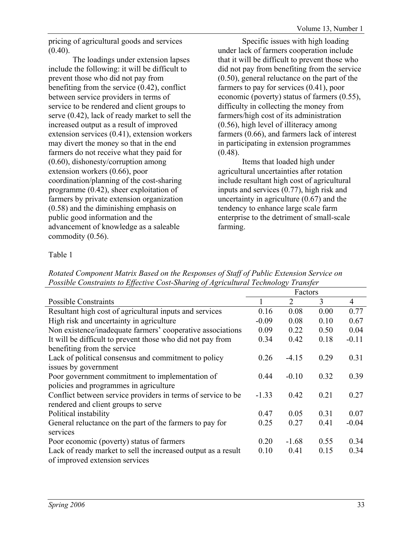pricing of agricultural goods and services  $(0.40)$ .

The loadings under extension lapses include the following: it will be difficult to prevent those who did not pay from benefiting from the service (0.42), conflict between service providers in terms of service to be rendered and client groups to serve (0.42), lack of ready market to sell the increased output as a result of improved extension services (0.41), extension workers may divert the money so that in the end farmers do not receive what they paid for (0.60), dishonesty/corruption among extension workers (0.66), poor coordination/planning of the cost-sharing programme (0.42), sheer exploitation of farmers by private extension organization (0.58) and the diminishing emphasis on public good information and the advancement of knowledge as a saleable commodity (0.56).

Specific issues with high loading under lack of farmers cooperation include that it will be difficult to prevent those who did not pay from benefiting from the service (0.50), general reluctance on the part of the farmers to pay for services (0.41), poor economic (poverty) status of farmers (0.55), difficulty in collecting the money from farmers/high cost of its administration (0.56), high level of illiteracy among farmers (0.66), and farmers lack of interest in participating in extension programmes  $(0.48)$ .

Items that loaded high under agricultural uncertainties after rotation include resultant high cost of agricultural inputs and services (0.77), high risk and uncertainty in agriculture (0.67) and the tendency to enhance large scale farm enterprise to the detriment of small-scale farming.

## Table 1

*Rotated Component Matrix Based on the Responses of Staff of Public Extension Service on Possible Constraints to Effective Cost-Sharing of Agricultural Technology Transfer* 

|                                                               | Factors |                |      |                |
|---------------------------------------------------------------|---------|----------------|------|----------------|
| Possible Constraints                                          |         | $\overline{2}$ | 3    | $\overline{4}$ |
| Resultant high cost of agricultural inputs and services       | 0.16    | 0.08           | 0.00 | 0.77           |
| High risk and uncertainty in agriculture                      | $-0.09$ | 0.08           | 0.10 | 0.67           |
| Non existence/inadequate farmers' cooperative associations    | 0.09    | 0.22           | 0.50 | 0.04           |
| It will be difficult to prevent those who did not pay from    | 0.34    | 0.42           | 0.18 | $-0.11$        |
| benefiting from the service                                   |         |                |      |                |
| Lack of political consensus and commitment to policy          | 0.26    | $-4.15$        | 0.29 | 0.31           |
| issues by government                                          |         |                |      |                |
| Poor government commitment to implementation of               | 0.44    | $-0.10$        | 0.32 | 0.39           |
| policies and programmes in agriculture                        |         |                |      |                |
| Conflict between service providers in terms of service to be  | $-1.33$ | 0.42           | 0.21 | 0.27           |
| rendered and client groups to serve                           |         |                |      |                |
| Political instability                                         | 0.47    | 0.05           | 0.31 | 0.07           |
| General reluctance on the part of the farmers to pay for      | 0.25    | 0.27           | 0.41 | $-0.04$        |
| services                                                      |         |                |      |                |
| Poor economic (poverty) status of farmers                     | 0.20    | $-1.68$        | 0.55 | 0.34           |
| Lack of ready market to sell the increased output as a result | 0.10    | 0.41           | 0.15 | 0.34           |
| of improved extension services                                |         |                |      |                |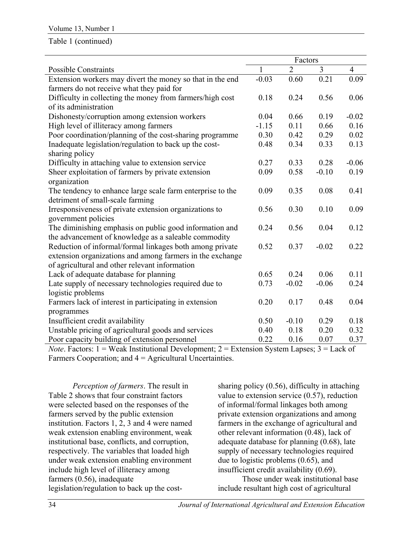#### Table 1 (continued)

|                                                                                                                                                                                 | Factors      |                |                        |                |
|---------------------------------------------------------------------------------------------------------------------------------------------------------------------------------|--------------|----------------|------------------------|----------------|
| <b>Possible Constraints</b>                                                                                                                                                     | $\mathbf{1}$ | $\overline{2}$ | 3                      | $\overline{4}$ |
| Extension workers may divert the money so that in the end                                                                                                                       | $-0.03$      | 0.60           | 0.21                   | 0.09           |
| farmers do not receive what they paid for                                                                                                                                       |              |                |                        |                |
| Difficulty in collecting the money from farmers/high cost                                                                                                                       | 0.18         | 0.24           | 0.56                   | 0.06           |
| of its administration                                                                                                                                                           |              |                |                        |                |
| Dishonesty/corruption among extension workers                                                                                                                                   | 0.04         | 0.66           | 0.19                   | $-0.02$        |
| High level of illiteracy among farmers                                                                                                                                          | $-1.15$      | 0.11           | 0.66                   | 0.16           |
| Poor coordination/planning of the cost-sharing programme                                                                                                                        | 0.30         | 0.42           | 0.29                   | 0.02           |
| Inadequate legislation/regulation to back up the cost-                                                                                                                          | 0.48         | 0.34           | 0.33                   | 0.13           |
| sharing policy                                                                                                                                                                  |              |                |                        |                |
| Difficulty in attaching value to extension service                                                                                                                              | 0.27         | 0.33           | 0.28                   | $-0.06$        |
| Sheer exploitation of farmers by private extension                                                                                                                              | 0.09         | 0.58           | $-0.10$                | 0.19           |
| organization                                                                                                                                                                    |              |                |                        |                |
| The tendency to enhance large scale farm enterprise to the                                                                                                                      | 0.09         | 0.35           | 0.08                   | 0.41           |
| detriment of small-scale farming                                                                                                                                                |              |                |                        |                |
| Irresponsiveness of private extension organizations to                                                                                                                          | 0.56         | 0.30           | 0.10                   | 0.09           |
| government policies                                                                                                                                                             |              |                |                        |                |
| The diminishing emphasis on public good information and                                                                                                                         | 0.24         | 0.56           | 0.04                   | 0.12           |
| the advancement of knowledge as a saleable commodity                                                                                                                            |              |                |                        |                |
| Reduction of informal/formal linkages both among private                                                                                                                        | 0.52         | 0.37           | $-0.02$                | 0.22           |
| extension organizations and among farmers in the exchange                                                                                                                       |              |                |                        |                |
| of agricultural and other relevant information                                                                                                                                  |              |                |                        |                |
| Lack of adequate database for planning                                                                                                                                          | 0.65         | 0.24           | 0.06                   | 0.11           |
| Late supply of necessary technologies required due to                                                                                                                           | 0.73         | $-0.02$        | $-0.06$                | 0.24           |
| logistic problems                                                                                                                                                               |              |                |                        |                |
| Farmers lack of interest in participating in extension                                                                                                                          | 0.20         | 0.17           | 0.48                   | 0.04           |
| programmes                                                                                                                                                                      |              |                |                        |                |
| Insufficient credit availability                                                                                                                                                | 0.50         | $-0.10$        | 0.29                   | 0.18           |
| Unstable pricing of agricultural goods and services                                                                                                                             | 0.40         | 0.18           | 0.20                   | 0.32           |
| Poor capacity building of extension personnel                                                                                                                                   | 0.22         | 0.16           | 0.07                   | 0.37           |
| $\mathbf{M}$ $\mathbf{F}$ $\mathbf{H}$ $\mathbf{H}$ $\mathbf{H}$ $\mathbf{W}$ $\mathbf{H}$ $\mathbf{H}$ $\mathbf{H}$ $\mathbf{H}$<br>$\blacksquare$<br>$\sim$<br>$\overline{1}$ | $\sim$       |                | $\sim$<br>$\mathbf{r}$ |                |

*Note*. Factors: 1 = Weak Institutional Development; 2 = Extension System Lapses; 3 = Lack of Farmers Cooperation; and 4 = Agricultural Uncertainties.

*Perception of farmers*. The result in Table 2 shows that four constraint factors were selected based on the responses of the farmers served by the public extension institution. Factors 1, 2, 3 and 4 were named weak extension enabling environment, weak institutional base, conflicts, and corruption, respectively. The variables that loaded high under weak extension enabling environment include high level of illiteracy among farmers (0.56), inadequate legislation/regulation to back up the cost-

sharing policy (0.56), difficulty in attaching value to extension service (0.57), reduction of informal/formal linkages both among private extension organizations and among farmers in the exchange of agricultural and other relevant information (0.48), lack of adequate database for planning  $(0.68)$ , late supply of necessary technologies required due to logistic problems  $(0.65)$ , and insufficient credit availability (0.69).

Those under weak institutional base include resultant high cost of agricultural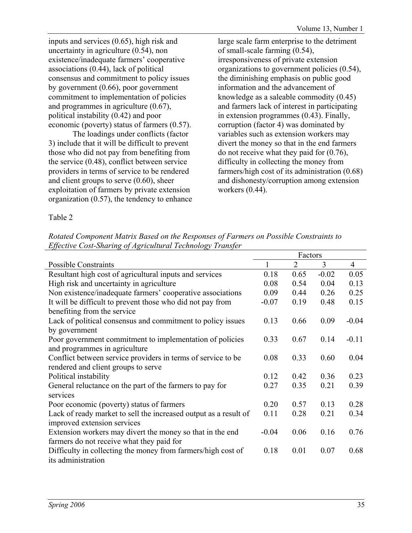inputs and services (0.65), high risk and uncertainty in agriculture (0.54), non existence/inadequate farmers' cooperative associations (0.44), lack of political consensus and commitment to policy issues by government (0.66), poor government commitment to implementation of policies and programmes in agriculture (0.67), political instability (0.42) and poor economic (poverty) status of farmers (0.57).

The loadings under conflicts (factor 3) include that it will be difficult to prevent those who did not pay from benefiting from the service (0.48), conflict between service providers in terms of service to be rendered and client groups to serve (0.60), sheer exploitation of farmers by private extension organization (0.57), the tendency to enhance large scale farm enterprise to the detriment of small-scale farming (0.54), irresponsiveness of private extension organizations to government policies (0.54), the diminishing emphasis on public good information and the advancement of knowledge as a saleable commodity (0.45) and farmers lack of interest in participating in extension programmes (0.43). Finally, corruption (factor 4) was dominated by variables such as extension workers may divert the money so that in the end farmers do not receive what they paid for (0.76), difficulty in collecting the money from farmers/high cost of its administration (0.68) and dishonesty/corruption among extension workers (0.44).

Table 2

*Rotated Component Matrix Based on the Responses of Farmers on Possible Constraints to Effective Cost-Sharing of Agricultural Technology Transfer* 

|                                                                  | Factors |                |         |                |
|------------------------------------------------------------------|---------|----------------|---------|----------------|
| <b>Possible Constraints</b>                                      |         | $\overline{2}$ | 3       | $\overline{4}$ |
| Resultant high cost of agricultural inputs and services          | 0.18    | 0.65           | $-0.02$ | 0.05           |
| High risk and uncertainty in agriculture                         | 0.08    | 0.54           | 0.04    | 0.13           |
| Non existence/inadequate farmers' cooperative associations       | 0.09    | 0.44           | 0.26    | 0.25           |
| It will be difficult to prevent those who did not pay from       | $-0.07$ | 0.19           | 0.48    | 0.15           |
| benefiting from the service                                      |         |                |         |                |
| Lack of political consensus and commitment to policy issues      | 0.13    | 0.66           | 0.09    | $-0.04$        |
| by government                                                    |         |                |         |                |
| Poor government commitment to implementation of policies         | 0.33    | 0.67           | 0.14    | $-0.11$        |
| and programmes in agriculture                                    |         |                |         |                |
| Conflict between service providers in terms of service to be.    | 0.08    | 0.33           | 0.60    | 0.04           |
| rendered and client groups to serve                              |         |                |         |                |
| Political instability                                            | 0.12    | 0.42           | 0.36    | 0.23           |
| General reluctance on the part of the farmers to pay for         | 0.27    | 0.35           | 0.21    | 0.39           |
| services                                                         |         |                |         |                |
| Poor economic (poverty) status of farmers                        | 0.20    | 0.57           | 0.13    | 0.28           |
| Lack of ready market to sell the increased output as a result of | 0.11    | 0.28           | 0.21    | 0.34           |
| improved extension services                                      |         |                |         |                |
| Extension workers may divert the money so that in the end        | $-0.04$ | 0.06           | 0.16    | 0.76           |
| farmers do not receive what they paid for                        |         |                |         |                |
| Difficulty in collecting the money from farmers/high cost of     | 0.18    | 0.01           | 0.07    | 0.68           |
| its administration                                               |         |                |         |                |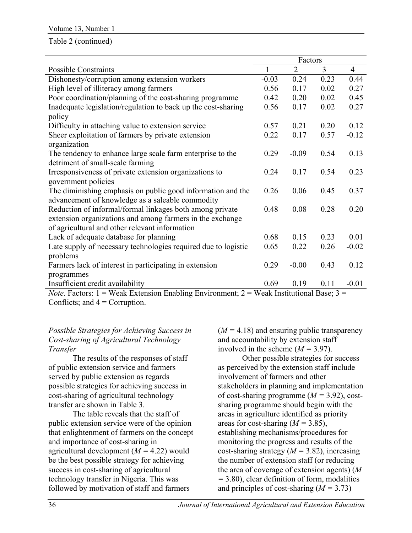#### Table 2 (continued)

|                                                                                                 | Factors |                |      |                |
|-------------------------------------------------------------------------------------------------|---------|----------------|------|----------------|
| <b>Possible Constraints</b>                                                                     |         | $\overline{2}$ | 3    | $\overline{4}$ |
| Dishonesty/corruption among extension workers                                                   | $-0.03$ | 0.24           | 0.23 | 0.44           |
| High level of illiteracy among farmers                                                          | 0.56    | 0.17           | 0.02 | 0.27           |
| Poor coordination/planning of the cost-sharing programme                                        | 0.42    | 0.20           | 0.02 | 0.45           |
| Inadequate legislation/regulation to back up the cost-sharing                                   | 0.56    | 0.17           | 0.02 | 0.27           |
| policy                                                                                          |         |                |      |                |
| Difficulty in attaching value to extension service                                              | 0.57    | 0.21           | 0.20 | 0.12           |
| Sheer exploitation of farmers by private extension                                              | 0.22    | 0.17           | 0.57 | $-0.12$        |
| organization                                                                                    |         |                |      |                |
| The tendency to enhance large scale farm enterprise to the                                      | 0.29    | $-0.09$        | 0.54 | 0.13           |
| detriment of small-scale farming                                                                |         |                |      |                |
| Irresponsiveness of private extension organizations to                                          | 0.24    | 0.17           | 0.54 | 0.23           |
| government policies                                                                             |         |                |      |                |
| The diminishing emphasis on public good information and the                                     | 0.26    | 0.06           | 0.45 | 0.37           |
| advancement of knowledge as a saleable commodity                                                |         |                |      |                |
| Reduction of informal/formal linkages both among private                                        | 0.48    | 0.08           | 0.28 | 0.20           |
| extension organizations and among farmers in the exchange                                       |         |                |      |                |
| of agricultural and other relevant information                                                  |         |                |      |                |
| Lack of adequate database for planning                                                          | 0.68    | 0.15           | 0.23 | 0.01           |
| Late supply of necessary technologies required due to logistic                                  | 0.65    | 0.22           | 0.26 | $-0.02$        |
| problems                                                                                        |         |                |      |                |
| Farmers lack of interest in participating in extension                                          | 0.29    | $-0.00$        | 0.43 | 0.12           |
| programmes                                                                                      |         |                |      |                |
| Insufficient credit availability                                                                | 0.69    | 0.19           | 0.11 | $-0.01$        |
| $Noto$ Eactors: $1 = Weak$ Extension Enabling Environment: $2 = Weak$ Institutional Base: $3 =$ |         |                |      |                |

*Note*. Factors:  $1 = Weak Extension Enabling Environment; 2 = Weak Instructional Base; 3$ Conflicts; and  $4 =$  Corruption.

## *Possible Strategies for Achieving Success in Cost-sharing of Agricultural Technology Transfer*

The results of the responses of staff of public extension service and farmers served by public extension as regards possible strategies for achieving success in cost-sharing of agricultural technology transfer are shown in Table 3.

The table reveals that the staff of public extension service were of the opinion that enlightenment of farmers on the concept and importance of cost-sharing in agricultural development (*M =* 4.22) would be the best possible strategy for achieving success in cost-sharing of agricultural technology transfer in Nigeria. This was followed by motivation of staff and farmers

 $(M = 4.18)$  and ensuring public transparency and accountability by extension staff involved in the scheme  $(M = 3.97)$ .

Other possible strategies for success as perceived by the extension staff include involvement of farmers and other stakeholders in planning and implementation of cost-sharing programme (*M =* 3.92), costsharing programme should begin with the areas in agriculture identified as priority areas for cost-sharing  $(M = 3.85)$ , establishing mechanisms/procedures for monitoring the progress and results of the cost-sharing strategy  $(M = 3.82)$ , increasing the number of extension staff (or reducing the area of coverage of extension agents) (*M =* 3.80), clear definition of form, modalities and principles of cost-sharing (*M =* 3.73)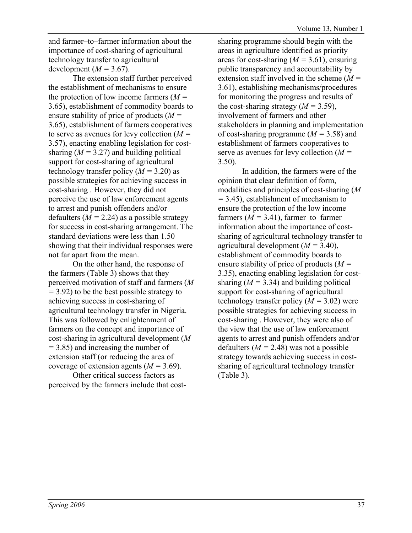and farmer–to–farmer information about the importance of cost-sharing of agricultural technology transfer to agricultural development  $(M = 3.67)$ .

The extension staff further perceived the establishment of mechanisms to ensure the protection of low income farmers (*M =*  3.65), establishment of commodity boards to ensure stability of price of products (*M =*  3.65), establishment of farmers cooperatives to serve as avenues for levy collection (*M =*  3.57), enacting enabling legislation for costsharing  $(M = 3.27)$  and building political support for cost-sharing of agricultural technology transfer policy  $(M = 3.20)$  as possible strategies for achieving success in cost-sharing . However, they did not perceive the use of law enforcement agents to arrest and punish offenders and/or defaulters  $(M = 2.24)$  as a possible strategy for success in cost-sharing arrangement. The standard deviations were less than 1.50 showing that their individual responses were not far apart from the mean.

On the other hand, the response of the farmers (Table 3) shows that they perceived motivation of staff and farmers (*M =* 3.92) to be the best possible strategy to achieving success in cost-sharing of agricultural technology transfer in Nigeria. This was followed by enlightenment of farmers on the concept and importance of cost-sharing in agricultural development (*M =* 3.85) and increasing the number of extension staff (or reducing the area of coverage of extension agents (*M =* 3.69).

Other critical success factors as perceived by the farmers include that costsharing programme should begin with the areas in agriculture identified as priority areas for cost-sharing  $(M = 3.61)$ , ensuring public transparency and accountability by extension staff involved in the scheme (*M =*  3.61), establishing mechanisms/procedures for monitoring the progress and results of the cost-sharing strategy  $(M = 3.59)$ , involvement of farmers and other stakeholders in planning and implementation of cost-sharing programme (*M =* 3.58) and establishment of farmers cooperatives to serve as avenues for levy collection (*M =*  3.50).

In addition, the farmers were of the opinion that clear definition of form, modalities and principles of cost-sharing (*M =* 3.45), establishment of mechanism to ensure the protection of the low income farmers  $(M = 3.41)$ , farmer–to–farmer information about the importance of costsharing of agricultural technology transfer to agricultural development (*M =* 3.40), establishment of commodity boards to ensure stability of price of products (*M =*  3.35), enacting enabling legislation for costsharing  $(M = 3.34)$  and building political support for cost-sharing of agricultural technology transfer policy (*M =* 3.02) were possible strategies for achieving success in cost-sharing . However, they were also of the view that the use of law enforcement agents to arrest and punish offenders and/or defaulters  $(M = 2.48)$  was not a possible strategy towards achieving success in costsharing of agricultural technology transfer (Table 3).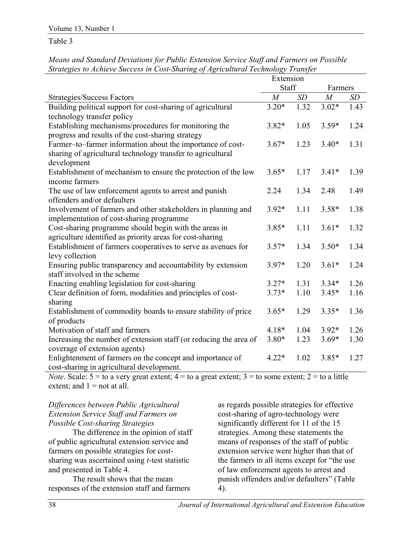Table 3

|                                                                   | Extension      |      |                |           |
|-------------------------------------------------------------------|----------------|------|----------------|-----------|
|                                                                   | Staff          |      | Farmers        |           |
| <b>Strategies/Success Factors</b>                                 | $\overline{M}$ | SD   | $\overline{M}$ | <b>SD</b> |
| Building political support for cost-sharing of agricultural       | $3.20*$        | 1.32 | $3.02*$        | 1.43      |
| technology transfer policy                                        |                |      |                |           |
| Establishing mechanisms/procedures for monitoring the             | $3.82*$        | 1.05 | $3.59*$        | 1.24      |
| progress and results of the cost-sharing strategy                 |                |      |                |           |
| Farmer-to-farmer information about the importance of cost-        | $3.67*$        | 1.23 | $3.40*$        | 1.31      |
| sharing of agricultural technology transfer to agricultural       |                |      |                |           |
| development                                                       |                |      |                |           |
| Establishment of mechanism to ensure the protection of the low    | $3.65*$        | 1.17 | $3.41*$        | 1.39      |
| income farmers                                                    |                |      |                |           |
| The use of law enforcement agents to arrest and punish            | 2.24           | 1.34 | 2.48           | 1.49      |
| offenders and/or defaulters                                       |                |      |                |           |
| Involvement of farmers and other stakeholders in planning and     | $3.92*$        | 1.11 | $3.58*$        | 1.38      |
| implementation of cost-sharing programme                          |                |      |                |           |
| Cost-sharing programme should begin with the areas in             | $3.85*$        | 1.11 | $3.61*$        | 1.32      |
| agriculture identified as priority areas for cost-sharing         |                |      |                |           |
| Establishment of farmers cooperatives to serve as avenues for     | $3.57*$        | 1.34 | $3.50*$        | 1.34      |
| levy collection                                                   |                |      |                |           |
| Ensuring public transparency and accountability by extension      | $3.97*$        | 1.20 | $3.61*$        | 1.24      |
| staff involved in the scheme                                      |                |      |                |           |
| Enacting enabling legislation for cost-sharing                    | $3.27*$        | 1.31 | $3.34*$        | 1.26      |
| Clear definition of form, modalities and principles of cost-      | $3.73*$        | 1.10 | $3.45*$        | 1.16      |
| sharing                                                           |                |      |                |           |
| Establishment of commodity boards to ensure stability of price    | $3.65*$        | 1.29 | $3.35*$        | 1.36      |
| of products                                                       |                |      |                |           |
| Motivation of staff and farmers                                   | $4.18*$        | 1.04 | $3.92*$        | 1.26      |
| Increasing the number of extension staff (or reducing the area of | $3.80*$        | 1.23 | $3.69*$        | 1.30      |
| coverage of extension agents)                                     |                |      |                |           |
| Enlightenment of farmers on the concept and importance of         | $4.22*$        | 1.02 | $3.85*$        | 1.27      |
| cost-sharing in agricultural development.                         |                |      |                |           |

*Means and Standard Deviations for Public Extension Service Staff and Farmers on Possible Strategies to Achieve Success in Cost-Sharing of Agricultural Technology Transfer* 

*Note*. Scale:  $5 =$  to a very great extent;  $4 =$  to a great extent;  $3 =$  to some extent;  $2 =$  to a little extent; and  $1 =$  not at all.

## *Differences between Public Agricultural Extension Service Staff and Farmers on Possible Cost-sharing Strategies*

The difference in the opinion of staff of public agricultural extension service and farmers on possible strategies for costsharing was ascertained using *t*-test statistic and presented in Table 4.

The result shows that the mean responses of the extension staff and farmers as regards possible strategies for effective cost-sharing of agro-technology were significantly different for 11 of the 15 strategies. Among these statements the means of responses of the staff of public extension service were higher than that of the farmers in all items except for "the use of law enforcement agents to arrest and punish offenders and/or defaulters" (Table 4).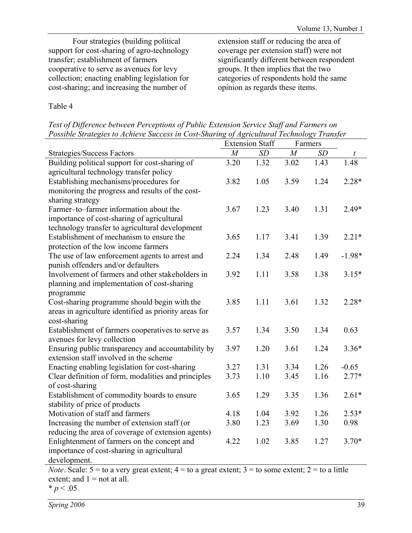Four strategies (building political support for cost-sharing of agro-technology transfer; establishment of farmers cooperative to serve as avenues for levy collection; enacting enabling legislation for cost-sharing; and increasing the number of

extension staff or reducing the area of coverage per extension staff) were not significantly different between respondent groups. It then implies that the two categories of respondents hold the same opinion as regards these items.

# Table 4

*Test of Difference between Perceptions of Public Extension Service Staff and Farmers on Possible Strategies to Achieve Success in Cost-Sharing of Agricultural Technology Transfer*

|                                                                                                                    | <b>Extension Staff</b> |      | Farmers        |      |          |
|--------------------------------------------------------------------------------------------------------------------|------------------------|------|----------------|------|----------|
| <b>Strategies/Success Factors</b>                                                                                  | $\overline{M}$         | SD   | $\overline{M}$ | SD   | t        |
| Building political support for cost-sharing of                                                                     | 3.20                   | 1.32 | 3.02           | 1.43 | 1.48     |
| agricultural technology transfer policy                                                                            |                        |      |                |      |          |
| Establishing mechanisms/procedures for                                                                             | 3.82                   | 1.05 | 3.59           | 1.24 | $2.28*$  |
| monitoring the progress and results of the cost-                                                                   |                        |      |                |      |          |
| sharing strategy                                                                                                   |                        |      |                |      |          |
| Farmer-to-farmer information about the                                                                             | 3.67                   | 1.23 | 3.40           | 1.31 | $2.49*$  |
| importance of cost-sharing of agricultural                                                                         |                        |      |                |      |          |
| technology transfer to agricultural development                                                                    |                        |      |                |      |          |
| Establishment of mechanism to ensure the                                                                           | 3.65                   | 1.17 | 3.41           | 1.39 | $2.21*$  |
| protection of the low income farmers                                                                               |                        |      |                |      |          |
| The use of law enforcement agents to arrest and                                                                    | 2.24                   | 1.34 | 2.48           | 1.49 | $-1.98*$ |
| punish offenders and/or defaulters                                                                                 |                        |      |                |      |          |
| Involvement of farmers and other stakeholders in                                                                   | 3.92                   | 1.11 | 3.58           | 1.38 | $3.15*$  |
| planning and implementation of cost-sharing                                                                        |                        |      |                |      |          |
| programme                                                                                                          |                        |      |                |      |          |
| Cost-sharing programme should begin with the                                                                       | 3.85                   | 1.11 | 3.61           | 1.32 | $2.28*$  |
| areas in agriculture identified as priority areas for                                                              |                        |      |                |      |          |
| cost-sharing                                                                                                       |                        |      |                |      |          |
| Establishment of farmers cooperatives to serve as                                                                  | 3.57                   | 1.34 | 3.50           | 1.34 | 0.63     |
| avenues for levy collection                                                                                        |                        |      |                |      |          |
| Ensuring public transparency and accountability by                                                                 | 3.97                   | 1.20 | 3.61           | 1.24 | $3.36*$  |
| extension staff involved in the scheme                                                                             |                        |      |                |      |          |
| Enacting enabling legislation for cost-sharing                                                                     | 3.27                   | 1.31 | 3.34           | 1.26 | $-0.65$  |
| Clear definition of form, modalities and principles                                                                | 3.73                   | 1.10 | 3.45           | 1.16 | $2.77*$  |
| of cost-sharing                                                                                                    |                        |      |                |      |          |
| Establishment of commodity boards to ensure                                                                        | 3.65                   | 1.29 | 3.35           | 1.36 | $2.61*$  |
| stability of price of products                                                                                     |                        |      |                |      |          |
| Motivation of staff and farmers                                                                                    | 4.18                   | 1.04 | 3.92           | 1.26 | $2.53*$  |
| Increasing the number of extension staff (or                                                                       | 3.80                   | 1.23 | 3.69           | 1.30 | 0.98     |
| reducing the area of coverage of extension agents)                                                                 |                        |      |                |      |          |
| Enlightenment of farmers on the concept and                                                                        | 4.22                   | 1.02 | 3.85           | 1.27 | $3.70*$  |
| importance of cost-sharing in agricultural                                                                         |                        |      |                |      |          |
| development.                                                                                                       |                        |      |                |      |          |
| <i>Note.</i> Scale: $5 =$ to a very great extent; $4 =$ to a great extent; $3 =$ to some extent; $2 =$ to a little |                        |      |                |      |          |

extent; and  $1 =$  not at all.

 $* p < .05$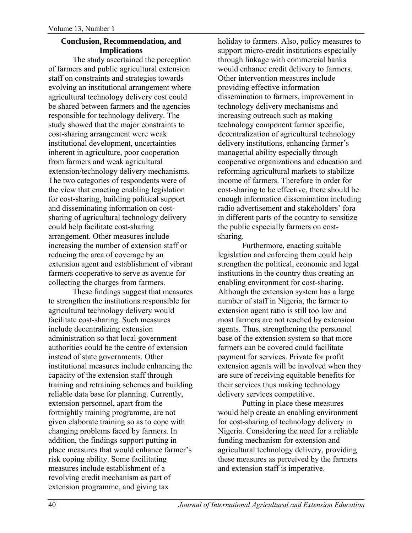#### **Conclusion, Recommendation, and Implications**

The study ascertained the perception of farmers and public agricultural extension staff on constraints and strategies towards evolving an institutional arrangement where agricultural technology delivery cost could be shared between farmers and the agencies responsible for technology delivery. The study showed that the major constraints to cost-sharing arrangement were weak institutional development, uncertainties inherent in agriculture, poor cooperation from farmers and weak agricultural extension/technology delivery mechanisms. The two categories of respondents were of the view that enacting enabling legislation for cost-sharing, building political support and disseminating information on costsharing of agricultural technology delivery could help facilitate cost-sharing arrangement. Other measures include increasing the number of extension staff or reducing the area of coverage by an extension agent and establishment of vibrant farmers cooperative to serve as avenue for collecting the charges from farmers.

These findings suggest that measures to strengthen the institutions responsible for agricultural technology delivery would facilitate cost-sharing. Such measures include decentralizing extension administration so that local government authorities could be the centre of extension instead of state governments. Other institutional measures include enhancing the capacity of the extension staff through training and retraining schemes and building reliable data base for planning. Currently, extension personnel, apart from the fortnightly training programme, are not given elaborate training so as to cope with changing problems faced by farmers. In addition, the findings support putting in place measures that would enhance farmer's risk coping ability. Some facilitating measures include establishment of a revolving credit mechanism as part of extension programme, and giving tax

holiday to farmers. Also, policy measures to support micro-credit institutions especially through linkage with commercial banks would enhance credit delivery to farmers. Other intervention measures include providing effective information dissemination to farmers, improvement in technology delivery mechanisms and increasing outreach such as making technology component farmer specific, decentralization of agricultural technology delivery institutions, enhancing farmer's managerial ability especially through cooperative organizations and education and reforming agricultural markets to stabilize income of farmers. Therefore in order for cost-sharing to be effective, there should be enough information dissemination including radio advertisement and stakeholders' fora in different parts of the country to sensitize the public especially farmers on costsharing.

Furthermore, enacting suitable legislation and enforcing them could help strengthen the political, economic and legal institutions in the country thus creating an enabling environment for cost-sharing. Although the extension system has a large number of staff in Nigeria, the farmer to extension agent ratio is still too low and most farmers are not reached by extension agents. Thus, strengthening the personnel base of the extension system so that more farmers can be covered could facilitate payment for services. Private for profit extension agents will be involved when they are sure of receiving equitable benefits for their services thus making technology delivery services competitive.

Putting in place these measures would help create an enabling environment for cost-sharing of technology delivery in Nigeria. Considering the need for a reliable funding mechanism for extension and agricultural technology delivery, providing these measures as perceived by the farmers and extension staff is imperative.